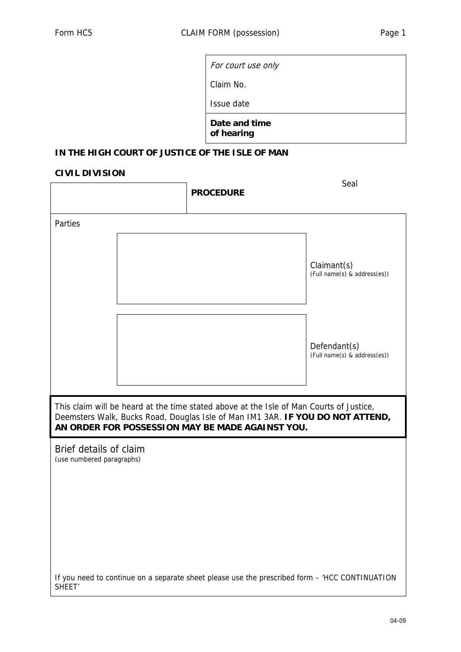Claim No.

Issue date

**Date and time of hearing** 

## **IN THE HIGH COURT OF JUSTICE OF THE ISLE OF MAN**

## **CIVIL DIVISION**

|                                                                                                                                                                                                                               |  | <b>PROCEDURE</b> | Seal                                                                                           |
|-------------------------------------------------------------------------------------------------------------------------------------------------------------------------------------------------------------------------------|--|------------------|------------------------------------------------------------------------------------------------|
| Parties                                                                                                                                                                                                                       |  |                  |                                                                                                |
|                                                                                                                                                                                                                               |  |                  | Claimant(s)<br>(Full name(s) & address(es))                                                    |
|                                                                                                                                                                                                                               |  |                  | Defendant(s)<br>(Full name(s) & address(es))                                                   |
| This claim will be heard at the time stated above at the Isle of Man Courts of Justice,<br>Deemsters Walk, Bucks Road, Douglas Isle of Man IM1 3AR. IF YOU DO NOT ATTEND,<br>AN ORDER FOR POSSESSION MAY BE MADE AGAINST YOU. |  |                  |                                                                                                |
| Brief details of claim<br>(use numbered paragraphs)                                                                                                                                                                           |  |                  |                                                                                                |
|                                                                                                                                                                                                                               |  |                  |                                                                                                |
|                                                                                                                                                                                                                               |  |                  |                                                                                                |
| SHEET <sup>'</sup>                                                                                                                                                                                                            |  |                  | If you need to continue on a separate sheet please use the prescribed form - 'HCC CONTINUATION |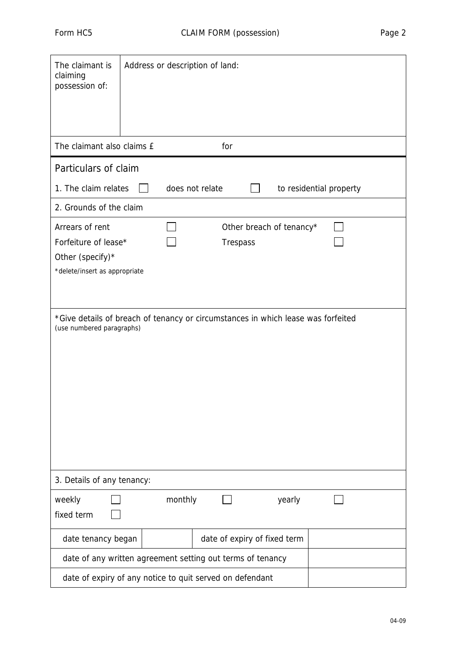| The claimant is<br>claiming<br>possession of:                                                                 |  | Address or description of land: |                                             |        |                         |  |
|---------------------------------------------------------------------------------------------------------------|--|---------------------------------|---------------------------------------------|--------|-------------------------|--|
| The claimant also claims £                                                                                    |  | for                             |                                             |        |                         |  |
| Particulars of claim                                                                                          |  |                                 |                                             |        |                         |  |
| 1. The claim relates                                                                                          |  | does not relate                 |                                             |        | to residential property |  |
| 2. Grounds of the claim                                                                                       |  |                                 |                                             |        |                         |  |
| Arrears of rent<br>Forfeiture of lease*<br>Other (specify)*<br>*delete/insert as appropriate                  |  |                                 | Other breach of tenancy*<br><b>Trespass</b> |        |                         |  |
| *Give details of breach of tenancy or circumstances in which lease was forfeited<br>(use numbered paragraphs) |  |                                 |                                             |        |                         |  |
| 3. Details of any tenancy:                                                                                    |  |                                 |                                             |        |                         |  |
| weekly<br>fixed term                                                                                          |  | monthly                         |                                             | yearly |                         |  |
| date tenancy began                                                                                            |  |                                 | date of expiry of fixed term                |        |                         |  |
| date of any written agreement setting out terms of tenancy                                                    |  |                                 |                                             |        |                         |  |
| date of expiry of any notice to quit served on defendant                                                      |  |                                 |                                             |        |                         |  |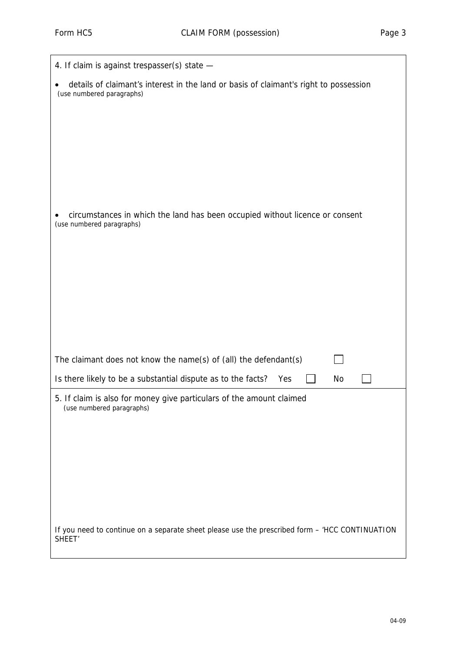| 4. If claim is against trespasser(s) state -                                                                         |  |  |
|----------------------------------------------------------------------------------------------------------------------|--|--|
| details of claimant's interest in the land or basis of claimant's right to possession<br>(use numbered paragraphs)   |  |  |
|                                                                                                                      |  |  |
|                                                                                                                      |  |  |
|                                                                                                                      |  |  |
|                                                                                                                      |  |  |
|                                                                                                                      |  |  |
| circumstances in which the land has been occupied without licence or consent<br>(use numbered paragraphs)            |  |  |
|                                                                                                                      |  |  |
|                                                                                                                      |  |  |
|                                                                                                                      |  |  |
|                                                                                                                      |  |  |
|                                                                                                                      |  |  |
| The claimant does not know the name(s) of (all) the defendant(s)                                                     |  |  |
| Is there likely to be a substantial dispute as to the facts?<br>Yes<br>No                                            |  |  |
| 5. If claim is also for money give particulars of the amount claimed<br>(use numbered paragraphs)                    |  |  |
|                                                                                                                      |  |  |
|                                                                                                                      |  |  |
|                                                                                                                      |  |  |
|                                                                                                                      |  |  |
|                                                                                                                      |  |  |
| If you need to continue on a separate sheet please use the prescribed form - 'HCC CONTINUATION<br>SHEET <sup>'</sup> |  |  |